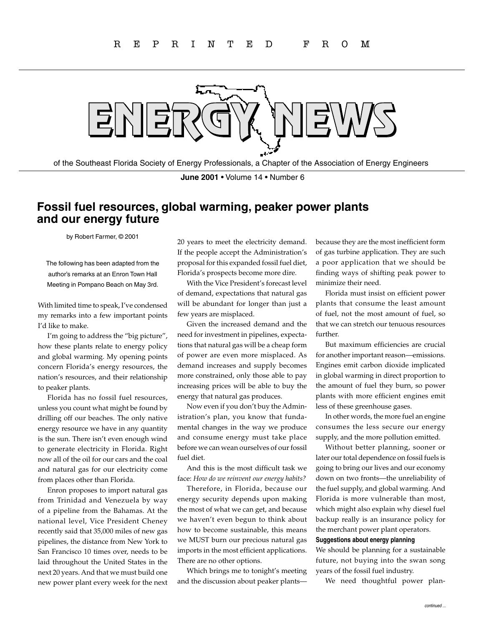

of the Southeast Florida Society of Energy Professionals, a Chapter of the Association of Energy Engineers

**June 2001** • Volume 14 • Number 6

## **Fossil fuel resources, global warming, peaker power plants and our energy future**

by Robert Farmer, © 2001

The following has been adapted from the author's remarks at an Enron Town Hall Meeting in Pompano Beach on May 3rd.

With limited time to speak, I've condensed my remarks into a few important points I'd like to make.

I'm going to address the "big picture", how these plants relate to energy policy and global warming. My opening points concern Florida's energy resources, the nation's resources, and their relationship to peaker plants.

Florida has no fossil fuel resources, unless you count what might be found by drilling off our beaches. The only native energy resource we have in any quantity is the sun. There isn't even enough wind to generate electricity in Florida. Right now all of the oil for our cars and the coal and natural gas for our electricity come from places other than Florida.

Enron proposes to import natural gas from Trinidad and Venezuela by way of a pipeline from the Bahamas. At the national level, Vice President Cheney recently said that 35,000 miles of new gas pipelines, the distance from New York to San Francisco 10 times over, needs to be laid throughout the United States in the next 20 years. And that we must build one new power plant every week for the next 20 years to meet the electricity demand. If the people accept the Administration's proposal for this expanded fossil fuel diet, Florida's prospects become more dire.

With the Vice President's forecast level of demand, expectations that natural gas will be abundant for longer than just a few years are misplaced.

Given the increased demand and the need for investment in pipelines, expectations that natural gas will be a cheap form of power are even more misplaced. As demand increases and supply becomes more constrained, only those able to pay increasing prices will be able to buy the energy that natural gas produces.

Now even if you don't buy the Administration's plan, you know that fundamental changes in the way we produce and consume energy must take place before we can wean ourselves of our fossil fuel diet.

And this is the most difficult task we face: *How do we reinvent our energy habits?*

Therefore, in Florida, because our energy security depends upon making the most of what we can get, and because we haven't even begun to think about how to become sustainable, this means we MUST burn our precious natural gas imports in the most efficient applications. There are no other options.

Which brings me to tonight's meeting and the discussion about peaker plantsbecause they are the most inefficient form of gas turbine application. They are such a poor application that we should be finding ways of shifting peak power to minimize their need.

Florida must insist on efficient power plants that consume the least amount of fuel, not the most amount of fuel, so that we can stretch our tenuous resources further.

But maximum efficiencies are crucial for another important reason—emissions. Engines emit carbon dioxide implicated in global warming in direct proportion to the amount of fuel they burn, so power plants with more efficient engines emit less of these greenhouse gases.

In other words, the more fuel an engine consumes the less secure our energy supply, and the more pollution emitted.

Without better planning, sooner or later our total dependence on fossil fuels is going to bring our lives and our economy down on two fronts—the unreliability of the fuel supply, and global warming. And Florida is more vulnerable than most, which might also explain why diesel fuel backup really is an insurance policy for the merchant power plant operators.

## **Suggestions about energy planning**

We should be planning for a sustainable future, not buying into the swan song years of the fossil fuel industry.

We need thoughtful power plan-